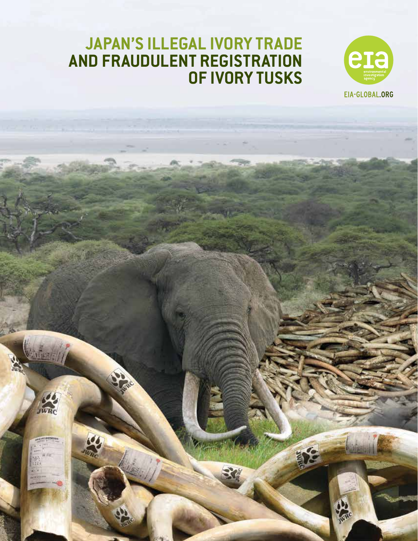

**Algres** 

# **Japan's Illegal Ivory Trade and Fraudulent Registration of Ivory Tusks**



MERA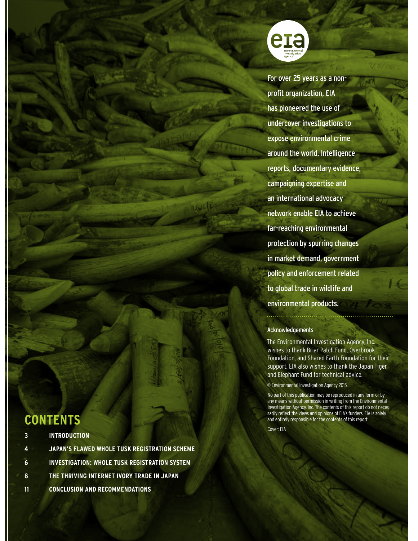

For over 25 years as a nonprofit organization, EIA has pioneered the use of undercover investigations to expose environmental crime around the world. Intelligence reports, documentary evidence, campaigning expertise and an international advocacy network enable EIA to achieve far-reaching environmental protection by spurring changes in market demand, government policy and enforcement related to global trade in wildlife and environmental products.

#### Acknowledgements

. . . . . . . . . . . . . .

The Environmental Investigation Agency, Inc. wishes to thank Briar Patch Fund, Overbrook Foundation, and Shared Earth Foundation for their support. EIA also wishes to thank the Japan Tiger and Elephant Fund for technical advice.

© Environmental Investigation Agency 2015.

No part of this publication may be reproduced in any form or by any means without permission in writing from the Environmental Investigation Agency, Inc. The contents of this report do not necessarily reflect the views and opinions of EIA's funders. EIA is solely and entirely responsible for the contents of this report.

Cover: EIA

# **Contents**

|                                                 | 3 INTRODUCTION                                       |
|-------------------------------------------------|------------------------------------------------------|
| $\left( \blacksquare \right)$<br><b>BALLAST</b> | JAPAN'S FLAWED WHOLE TUSK REGISTRATION SCHEME        |
| 6                                               | <b>INVESTIGATION: WHOLE TUSK REGISTRATION SYSTEM</b> |
|                                                 | 8 THE THRIVING INTERNET IVORY TRADE IN JAPAN         |
| - 11                                            | <b>CONCLUSION AND RECOMMENDATIONS</b>                |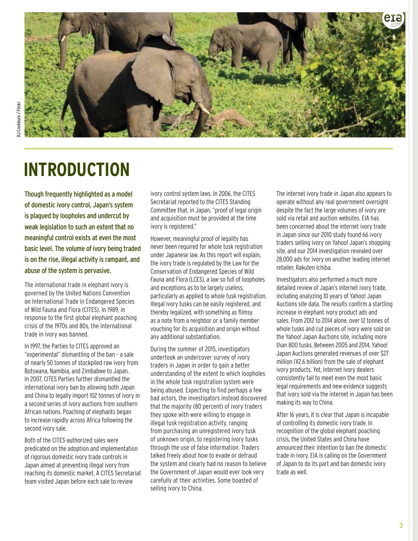

# **Introduction**

Though frequently highlighted as a model of domestic ivory control, Japan's system is plagued by loopholes and undercut by weak legislation to such an extent that no meaningful control exists at even the most basic level. The volume of ivory being traded is on the rise, illegal activity is rampant, and abuse of the system is pervasive.

The international trade in elephant ivory is governed by the United Nations Convention on International Trade in Endangered Species of Wild Fauna and Flora (CITES). In 1989, in response to the first global elephant poaching crisis of the 1970s and 80s, the international trade in ivory was banned.

In 1997, the Parties to CITES approved an "experimental" dismantling of the ban – a sale of nearly 50 tonnes of stockpiled raw ivory from Botswana, Namibia, and Zimbabwe to Japan. In 2007, CITES Parties further dismantled the international ivory ban by allowing both Japan and China to legally import 102 tonnes of ivory in a second series of ivory auctions from southern African nations. Poaching of elephants began to increase rapidly across Africa following the second ivory sale.

Both of the CITES-authorized sales were predicated on the adoption and implementation of rigorous domestic ivory trade controls in Japan aimed at preventing illegal ivory from reaching its domestic market. A CITES Secretariat team visited Japan before each sale to review

ivory control system laws. In 2006, the CITES Secretariat reported to the CITES Standing Committee that, in Japan, "proof of legal origin and acquisition must be provided at the time ivory is registered."

However, meaningful proof of legality has never been required for whole tusk registration under Japanese law. As this report will explain, the ivory trade is regulated by the Law for the Conservation of Endangered Species of Wild Fauna and Flora (LCES), a law so full of loopholes and exceptions as to be largely useless, particularly as applied to whole tusk registration. Illegal ivory tusks can be easily registered, and thereby legalized, with something as flimsy as a note from a neighbor or a family member vouching for its acquisition and origin without any additional substantiation.

During the summer of 2015, investigators undertook an undercover survey of ivory traders in Japan in order to gain a better understanding of the extent to which loopholes in the whole tusk registration system were being abused. Expecting to find perhaps a few bad actors, the investigators instead discovered that the majority (80 percent) of ivory traders they spoke with were willing to engage in illegal tusk registration activity, ranging from purchasing an unregistered ivory tusk of unknown origin, to registering ivory tusks through the use of false information. Traders talked freely about how to evade or defraud the system and clearly had no reason to believe the Government of Japan would ever look very carefully at their activities. Some boasted of selling ivory to China.

The internet ivory trade in Japan also appears to operate without any real government oversight despite the fact the large volumes of ivory are sold via retail and auction websites. EIA has been concerned about the internet ivory trade in Japan since our 2010 study found 66 ivory traders selling ivory on Yahoo! Japan's shopping site, and our 2014 investigation revealed over 28,000 ads for ivory on another leading internet retailer, Rakuten Ichiba.

Investigators also performed a much more detailed review of Japan's internet ivory trade, including analyzing 10 years of Yahoo! Japan Auctions site data. The results confirm a startling increase in elephant ivory product ads and sales. From 2012 to 2014 alone, over 12 tonnes of whole tusks and cut pieces of ivory were sold on the Yahoo! Japan Auctions site, including more than 800 tusks. Between 2005 and 2014, Yahoo! Japan Auctions generated revenues of over \$27 million (¥2.6 billion) from the sale of elephant ivory products. Yet, internet ivory dealers consistently fail to meet even the most basic legal requirements and new evidence suggests that ivory sold via the internet in Japan has been making its way to China.

After 16 years, it is clear that Japan is incapable of controlling its domestic ivory trade. In recognition of the global elephant poaching crisis, the United States and China have announced their intention to ban the domestic trade in ivory. EIA is calling on the Government of Japan to do its part and ban domestic ivory trade as well.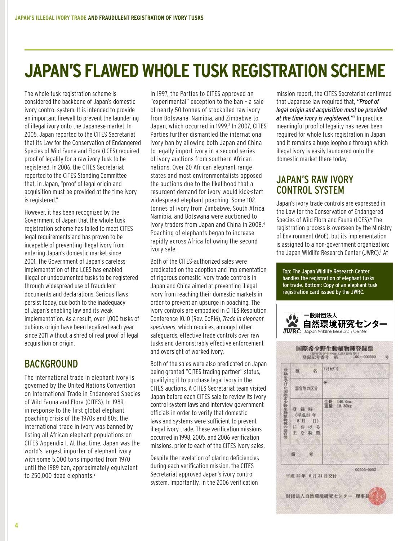# **Japan's Flawed Whole Tusk Registration Scheme**

The whole tusk registration scheme is considered the backbone of Japan's domestic ivory control system. It is intended to provide an important firewall to prevent the laundering of illegal ivory onto the Japanese market. In 2005, Japan reported to the CITES Secretariat that its Law for the Conservation of Endangered Species of Wild Fauna and Flora (LCES) required proof of legality for a raw ivory tusk to be registered. In 2006, the CITES Secretariat reported to the CITES Standing Committee that, in Japan, "proof of legal origin and acquisition must be provided at the time ivory is registered."1

However, it has been recognized by the Government of Japan that the whole tusk registration scheme has failed to meet CITES legal requirements and has proven to be incapable of preventing illegal ivory from entering Japan's domestic market since 2001. The Government of Japan's careless implementation of the LCES has enabled illegal or undocumented tusks to be registered through widespread use of fraudulent documents and declarations. Serious flaws persist today, due both to the inadequacy of Japan's enabling law and its weak implementation. As a result, over 1,000 tusks of dubious origin have been legalized each year since 2011 without a shred of real proof of legal acquisition or origin.

# **BACKGROUND**

The international trade in elephant ivory is governed by the United Nations Convention on International Trade in Endangered Species of Wild Fauna and Flora (CITES). In 1989, in response to the first global elephant poaching crisis of the 1970s and 80s, the international trade in ivory was banned by listing all African elephant populations on CITES Appendix I. At that time, Japan was the world's largest importer of elephant ivory with some 5,000 tons imported from 1970 until the 1989 ban, approximately equivalent to 250,000 dead elephants.<sup>2</sup>

In 1997, the Parties to CITES approved an "experimental" exception to the ban – a sale of nearly 50 tonnes of stockpiled raw ivory from Botswana, Namibia, and Zimbabwe to Japan, which occurred in 1999.<sup>3</sup> In 2007, CITES Parties further dismantled the international ivory ban by allowing both Japan and China to legally import ivory in a second series of ivory auctions from southern African nations. Over 20 African elephant range states and most environmentalists opposed the auctions due to the likelihood that a resurgent demand for ivory would kick-start widespread elephant poaching. Some 102 tonnes of ivory from Zimbabwe, South Africa, Namibia, and Botswana were auctioned to ivory traders from Japan and China in 2008.<sup>4</sup> Poaching of elephants began to increase rapidly across Africa following the second ivory sale.

Both of the CITES-authorized sales were predicated on the adoption and implementation of rigorous domestic ivory trade controls in Japan and China aimed at preventing illegal ivory from reaching their domestic markets in order to prevent an upsurge in poaching. The ivory controls are embodied in CITES Resolution Conference 10.10 (Rev. CoP16), *Trade in elephant specimens*, which requires, amongst other safeguards, effective trade controls over raw tusks and demonstrably effective enforcement and oversight of worked ivory.

Both of the sales were also predicated on Japan being granted "CITES trading partner" status, qualifying it to purchase legal ivory in the CITES auctions. A CITES Secretariat team visited Japan before each CITES sale to review its ivory control system laws and interview government officials in order to verify that domestic laws and systems were sufficient to prevent illegal ivory trade. These verification missions occurred in 1998, 2005, and 2006 verification missions, prior to each of the CITES ivory sales.

Despite the revelation of glaring deficiencies during each verification mission, the CITES Secretariat approved Japan's ivory control system. Importantly, in the 2006 verification

mission report, the CITES Secretariat confirmed that Japanese law required that, *"Proof of legal origin and acquisition must be provided at the time ivory is registered."*<sup>5</sup> In practice, meaningful proof of legality has never been required for whole tusk registration in Japan and it remains a huge loophole through which illegal ivory is easily laundered onto the domestic market there today.

## Japan's Raw Ivory Control System

Japan's ivory trade controls are expressed in the Law for the Conservation of Endangered Species of Wild Flora and Fauna (LCES).<sup>6</sup> The registration process is overseen by the Ministry of Environment (MoE), but its implementation is assigned to a non-government organization: the Japan Wildlife Research Center (JWRC).<sup>7</sup> At

Top: The Japan Wildlife Research Center handles the registration of elephant tusks for trade. Bottom: Copy of an elephant tusk registration card issued by the JWRC.

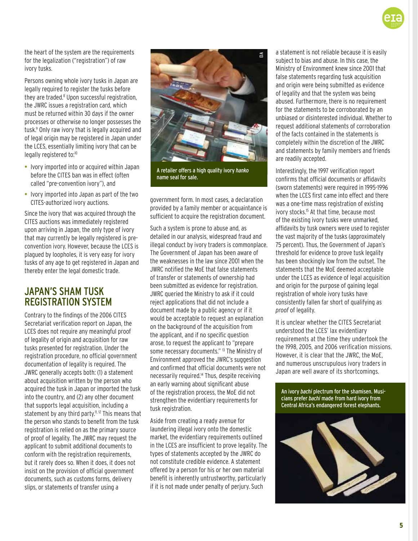the heart of the system are the requirements for the legalization ("registration") of raw ivory tusks.

Persons owning whole ivory tusks in Japan are legally required to register the tusks before they are traded.<sup>8</sup> Upon successful registration, the JWRC issues a registration card, which must be returned within 30 days if the owner processes or otherwise no longer possesses the tusk.9 Only raw ivory that is legally acquired and of legal origin may be registered in Japan under the LCES, essentially limiting ivory that can be legally registered to:<sup>10</sup>

- Ivory imported into or acquired within Japan before the CITES ban was in effect (often called "pre-convention ivory"), and
- Ivory imported into Japan as part of the two CITES-authorized ivory auctions.

Since the ivory that was acquired through the CITES auctions was immediately registered upon arriving in Japan, the only type of ivory that may currently be legally registered is preconvention ivory. However, because the LCES is plagued by loopholes, it is very easy for ivory tusks of any age to get registered in Japan and thereby enter the legal domestic trade.

## Japan's Sham Tusk Registration System

Contrary to the findings of the 2006 CITES Secretariat verification report on Japan, the LCES does not require any meaningful proof of legality of origin and acquisition for raw tusks presented for registration. Under the registration procedure, no official government documentation of legality is required. The JWRC generally accepts both: (1) a statement about acquisition written by the person who acquired the tusk in Japan or imported the tusk into the country, and (2) any other document that supports legal acquisition, including a statement by any third party.<sup>11, 12</sup> This means that the person who stands to benefit from the tusk registration is relied on as the primary source of proof of legality. The JWRC may request the applicant to submit additional documents to conform with the registration requirements, but it rarely does so. When it does, it does not insist on the provision of official government documents, such as customs forms, delivery slips, or statements of transfer using a



A retailer offers a high quality ivory *hanko* name seal for sale.

government form. In most cases, a declaration provided by a family member or acquaintance is sufficient to acquire the registration document.

Such a system is prone to abuse and, as detailed in our analysis, widespread fraud and illegal conduct by ivory traders is commonplace. The Government of Japan has been aware of the weaknesses in the law since 2001 when the JWRC notified the MoE that false statements of transfer or statements of ownership had been submitted as evidence for registration. JWRC queried the Ministry to ask if it could reject applications that did not include a document made by a public agency or if it would be acceptable to request an explanation on the background of the acquisition from the applicant, and if no specific question arose, to request the applicant to "prepare some necessary documents." <sup>13</sup> The Ministry of Environment approved the JWRC's suggestion and confirmed that official documents were not necessarily required.14 Thus, despite receiving an early warning about significant abuse of the registration process, the MoE did not strengthen the evidentiary requirements for tusk registration.

Aside from creating a ready avenue for laundering illegal ivory onto the domestic market, the evidentiary requirements outlined in the LCES are insufficient to prove legality. The types of statements accepted by the JWRC do not constitute credible evidence. A statement offered by a person for his or her own material benefit is inherently untrustworthy, particularly if it is not made under penalty of perjury. Such

a statement is not reliable because it is easily subject to bias and abuse. In this case, the Ministry of Environment knew since 2001 that false statements regarding tusk acquisition and origin were being submitted as evidence of legality and that the system was being abused. Furthermore, there is no requirement for the statements to be corroborated by an unbiased or disinterested individual. Whether to request additional statements of corroboration of the facts contained in the statements is completely within the discretion of the JWRC and statements by family members and friends are readily accepted.

Interestingly, the 1997 verification report confirms that official documents or affidavits (sworn statements) were required in 1995-1996 when the LCES first came into effect and there was a one-time mass registration of existing ivory stocks.<sup>15</sup> At that time, because most of the existing ivory tusks were unmarked, affidavits by tusk owners were used to register the vast majority of the tusks (approximately 75 percent). Thus, the Government of Japan's threshold for evidence to prove tusk legality has been shockingly low from the outset. The statements that the MoE deemed acceptable under the LCES as evidence of legal acquisition and origin for the purpose of gaining legal registration of whole ivory tusks have consistently fallen far short of qualifying as *proof* of legality.

It is unclear whether the CITES Secretariat understood the LCES' lax evidentiary requirements at the time they undertook the the 1998, 2005, and 2006 verification missions. However, it is clear that the JWRC, the MoE, and numerous unscrupulous ivory traders in Japan are well aware of its shortcomings.

An ivory *bachi* plectrum for the shamisen. Musicians prefer *bachi* made from hard ivory from Central Africa's endangered forest elephants.



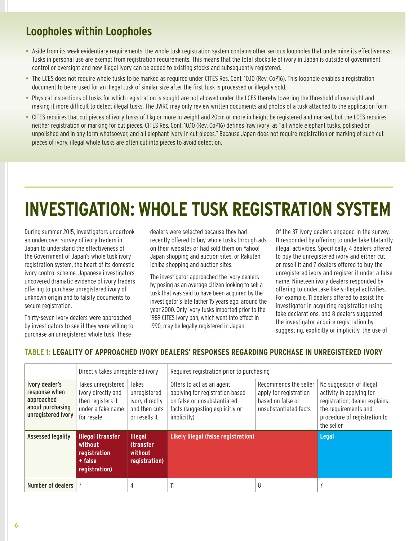# **Loopholes within Loopholes**

- Aside from its weak evidentiary requirements, the whole tusk registration system contains other serious loopholes that undermine its effectiveness: Tusks in personal use are exempt from registration requirements. This means that the total stockpile of ivory in Japan is outside of government control or oversight and new illegal ivory can be added to existing stocks and subsequently registered.
- The LCES does not require whole tusks to be marked as required under CITES Res. Conf. 10.10 (Rev. CoP16). This loophole enables a registration document to be re-used for an illegal tusk of similar size after the first tusk is processed or illegally sold.
- Physical inspections of tusks for which registration is sought are not allowed under the LCES thereby lowering the threshold of oversight and making it more difficult to detect illegal tusks. The JWRC may only review written documents and photos of a tusk attached to the application form
- CITES requires that cut pieces of ivory tusks of 1 kg or more in weight and 20cm or more in height be registered and marked, but the LCES requires neither registration or marking for cut pieces. CITES Res. Conf. 10.10 (Rev. CoP16) defines 'raw ivory' as "all whole elephant tusks, polished or unpolished and in any form whatsoever, and all elephant ivory in cut pieces." Because Japan does not require registration or marking of such cut pieces of ivory, illegal whole tusks are often cut into pieces to avoid detection.

# **Investigation: Whole Tusk Registration System**

During summer 2015, investigators undertook an undercover survey of ivory traders in Japan to understand the effectiveness of the Government of Japan's whole tusk ivory registration system, the heart of its domestic ivory control scheme. Japanese investigators uncovered dramatic evidence of ivory traders offering to purchase unregistered ivory of unknown origin and to falsify documents to secure registration.

Thirty-seven ivory dealers were approached by investigators to see if they were willing to purchase an unregistered whole tusk. These

dealers were selected because they had recently offered to buy whole tusks through ads on their websites or had sold them on Yahoo! Japan shopping and auction sites, or Rakuten Ichiba shopping and auction sites.

The investigator approached the ivory dealers by posing as an average citizen looking to sell a tusk that was said to have been acquired by the investigator's late father 15 years ago, around the year 2000. Only ivory tusks imported prior to the 1989 CITES ivory ban, which went into effect in 1990, may be legally registered in Japan.

Of the 37 ivory dealers engaged in the survey, 11 responded by offering to undertake blatantly illegal activities. Specifically, 4 dealers offered to buy the unregistered ivory and either cut or resell it and 7 dealers offered to buy the unregistered ivory and register it under a false name. Nineteen ivory dealers responded by offering to undertake likely illegal activities. For example, 11 dealers offered to assist the investigator in acquiring registration using fake declarations, and 8 dealers suggested the investigator acquire registration by suggesting, explicitly or implicitly, the use of

|                                                                                         | Directly takes unregistered ivory                                                                |                                                                                  | Requires registration prior to purchasing                                                                                                     |                                                                                               |                                                                                                                                                             |
|-----------------------------------------------------------------------------------------|--------------------------------------------------------------------------------------------------|----------------------------------------------------------------------------------|-----------------------------------------------------------------------------------------------------------------------------------------------|-----------------------------------------------------------------------------------------------|-------------------------------------------------------------------------------------------------------------------------------------------------------------|
| Ivory dealer's<br>response when<br>approached<br>about purchasing<br>unregistered ivory | Takes unregistered<br>ivory directly and<br>then registers it<br>under a fake name<br>for resale | <b>Takes</b><br>unregistered<br>ivory directly<br>and then cuts<br>or resells it | Offers to act as an agent<br>applying for registration based<br>on false or unsubstantiated<br>facts (suggesting explicitly or<br>implicitly) | Recommends the seller<br>apply for registration<br>based on false or<br>unsubstantiated facts | No suggestion of illegal<br>activity in applying for<br>registration; dealer explains<br>the requirements and<br>procedure of registration to<br>the seller |
| <b>Assessed legality</b>                                                                | <b>Illegal (transfer</b><br>without<br>registration<br>+ false<br>registration)                  | <b>Illegal</b><br><b>(transfer</b><br>without<br>registration)                   | Likely illegal (false registration)                                                                                                           |                                                                                               | Legal                                                                                                                                                       |
| Number of dealers                                                                       |                                                                                                  | 4                                                                                | 11                                                                                                                                            | 8                                                                                             |                                                                                                                                                             |

### **Table 1: Legality of approached ivory dealers' responses regarding purchase in unregistered ivory**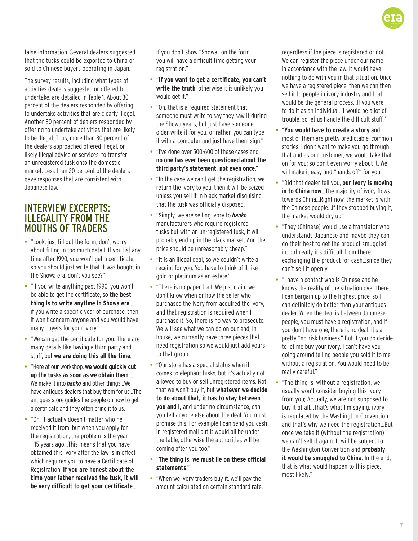false information. Several dealers suggested that the tusks could be exported to China or sold to Chinese buyers operating in Japan.

The survey results, including what types of activities dealers suggested or offered to undertake, are detailed in Table 1. About 30 percent of the dealers responded by offering to undertake activities that are clearly illegal. Another 50 percent of dealers responded by offering to undertake activities that are likely to be illegal. Thus, more than 80 percent of the dealers approached offered illegal, or likely illegal advice or services, to transfer an unregistered tusk onto the domestic market. Less than 20 percent of the dealers gave responses that are consistent with Japanese law.

### Interview Excerpts: Illegality from the Mouths of Traders

- "Look, just fill out the form, don't worry about filling in too much detail. If you list any time after 1990, you won't get a certificate, so you should just write that it was bought in the Showa era, don't you see?"
- "If you write anything past 1990, you won't be able to get the certificate, so **the best thing is to write anytime in Showa era**…. if you write a specific year of purchase, then it won't concern anyone and you would have many buyers for your ivory."
- "We can get the certificate for you. There are many details like having a third party and stuff, but **we are doing this all the time**."
- "Here at our workshop, **we would quickly cut up the tusks as soon as we obtain them**…. We make it into *hanko* and other things…We have antiques dealers that buy them for us…The antiques store guides the people on how to get a certificate and they often bring it to us."
- "Oh, it actually doesn't matter who he received it from, but when you apply for the registration, the problem is the year – 15 years ago…This means that you have obtained this ivory after the law is in effect which requires you to have a Certificate of Registration. **If you are honest about the time your father received the tusk, it will be very difficult to get your certificate**….

If you don't show "Showa" on the form, you will have a difficult time getting your registration."

- "**If you want to get a certificate, you can't write the truth**, otherwise it is unlikely you would get it."
- "Oh, that is a required statement that someone must write to say they saw it during the Showa years, but just have someone older write it for you, or rather, you can type it with a computer and just have them sign."
- "I've done over 500-600 of these cases and **no one has ever been questioned about the third party's statement, not even once**."
- "In the case we can't get the registration, we return the ivory to you, then it will be seized unless you sell it in black market disguising that the tusk was officially disposed."
- "Simply, we are selling ivory to *hanko* manufacturers who require registered tusks but with an un-registered tusk, it will probably end up in the black market. And the price should be unreasonably cheap."
- "It is an illegal deal, so we couldn't write a receipt for you. You have to think of it like gold or platinum as an estate."
- "There is no paper trail. We just claim we don't know when or how the seller who I purchased the ivory from acquired the ivory, and that registration is required when I purchase it. So, there is no way to prosecute. We will see what we can do on our end; In house, we currently have three pieces that need registration so we would just add yours to that group."
- "Our store has a special status when it comes to elephant tusks, but it's actually not allowed to buy or sell unregistered items. Not that we won't buy it, but **whatever we decide to do about that, it has to stay between you and I,** and under no circumstance, can you tell anyone else about the deal. You must promise this. For example I can send you cash in registered mail but it would all be under the table, otherwise the authorities will be coming after you too."
- "**The thing is, we must lie on these official statements**."
- "When we ivory traders buy it, we'll pay the amount calculated on certain standard rate,

regardless if the piece is registered or not. We can register the piece under our name in accordance with the law. It would have nothing to do with you in that situation. Once we have a registered piece, then we can then sell it to people in ivory industry and that would be the general process…If you were to do it as an individual, it would be a lot of trouble, so let us handle the difficult stuff."

- "**You would have to create a story** and most of them are pretty predictable, common stories. I don't want to make you go through that and as our customer; we would take that on for you; so don't even worry about it. We will make it easy and "hands off" for you."
- "Did that dealer tell you, **our ivory is moving in to China now**…The majority of ivory flows towards China…Right now, the market is with the Chinese people…If they stopped buying it, the market would dry up."
- "They (Chinese) would use a translator who understands Japanese and maybe they can do their best to get the product smuggled in, but really it's difficult from there exchanging the product for cash…since they can't sell it openly."
- "I have a contact who is Chinese and he knows the reality of the situation over there. I can bargain up to the highest price, so I can definitely do better than your antiques dealer. When the deal is between Japanese people, you must have a registration, and if you don't have one, there is no deal. It's a pretty "no-risk business." But if you do decide to let me buy your ivory, I can't have you going around telling people you sold it to me without a registration. You would need to be really careful."
- "The thing is, without a registration, we usually won't consider buying this ivory from you; Actually, we are not supposed to buy it at all…That's what I'm saying, ivory is regulated by the Washington Convention and that's why we need the registration...But once we take it (without the registration) we can't sell it again. It will be subject to the Washington Convention and **probably it would be smuggled to China**. In the end, that is what would happen to this piece, most likely."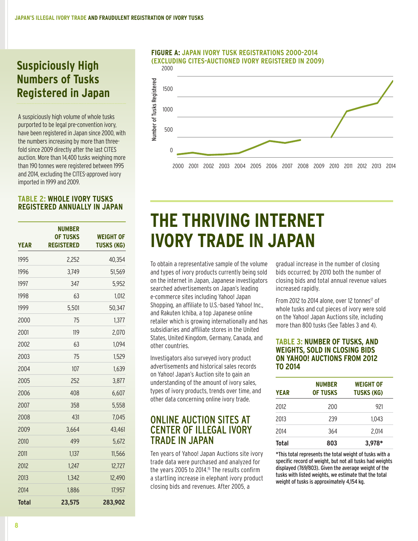# **Suspiciously High Numbers of Tusks Registered in Japan**

A suspiciously high volume of whole tusks purported to be legal pre-convention ivory, have been registered in Japan since 2000, with the numbers increasing by more than threefold since 2009 directly after the last CITES auction. More than 14,400 tusks weighing more than 190 tonnes were registered between 1995 and 2014, excluding the CITES-approved ivory imported in 1999 and 2009.

### **Table 2: Whole ivory tusks registered annually in Japan**

| <b>YEAR</b> | <b>NUMBER</b><br><b>OF TUSKS</b><br><b>REGISTERED</b> | <b>WEIGHT OF</b><br><b>TUSKS (KG)</b> |
|-------------|-------------------------------------------------------|---------------------------------------|
| 1995        | 2.252                                                 | 40.354                                |
| 1996        | 3,749                                                 | 51,569                                |
| 1997        | 347                                                   | 5,952                                 |
| 1998        | 63                                                    | 1,012                                 |
| 1999        | 5,501                                                 | 50,347                                |
| 2000        | 75                                                    | 1,377                                 |
| 2001        | 119                                                   | 2,070                                 |
| 2002        | 63                                                    | 1,094                                 |
| 2003        | 75                                                    | 1,529                                 |
| 2004        | 107                                                   | 1,639                                 |
| 2005        | 252                                                   | 3,877                                 |
| 2006        | 408                                                   | 6,607                                 |
| 2007        | 358                                                   | 5,558                                 |
| 2008        | 431                                                   | 7,045                                 |
| 2009        | 3,664                                                 | 43,461                                |
| 2010        | 499                                                   | 5,672                                 |
| 2011        | 1,137                                                 | 11,566                                |
| 2012        | 1,247                                                 | 12,727                                |
| 2013        | 1,342                                                 | 12,490                                |
| 2014        | 1,886                                                 | 17,957                                |
| Total       | 23,575                                                | 283,902                               |

#### 2500 **(Excluding CITES-Auctioned Ivory Registered in 2009) Figure A: Japan Ivory Tusk Registrations 2000-2014**



# **THE THRIVING INTERNET IVORY TRADE IN JAPAN**  $\frac{1}{\sqrt{2}}$

To obtain a representative sample of the volume and types of ivory products currently being sold on the internet in Japan, Japanese investigators searched advertisements on Japan's leading e-commerce sites including Yahoo! Japan Shopping, an affiliate to U.S.-based Yahoo! Inc., 0 and Rakuten Ichiba, a top Japanese online retailer which is growing internationally and has subsidiaries and affiliate stores in the United States, United Kingdom, Germany, Canada, and other countries.

Investigators also surveyed ivory product advertisements and historical sales records on Yahoo! Japan's Auction site to gain an understanding of the amount of ivory sales, types of ivory products, trends over time, and other data concerning online ivory trade.

### Online Auction Sites at Center of Illegal Ivory Trade in Japan

Ten years of Yahoo! Japan Auctions site ivory trade data were purchased and analyzed for the years 2005 to 2014.<sup>15</sup> The results confirm a startling increase in elephant ivory product closing bids and revenues. After 2005, a

gradual increase in the number of closing bids occurred; by 2010 both the number of closing bids and total annual revenue values increased rapidly.

From 2012 to 2014 alone, over 12 tonnes<sup>17</sup> of whole tusks and cut pieces of ivory were sold on the Yahoo! Japan Auctions site, including more than 800 tusks (See Tables 3 and 4).

### **Table 3: Number of tusks, and weights, sold in closing bids on Yahoo! Auctions from 2012 to 2014**

| <b>YEAR</b> | <b>NUMBER</b><br><b>OF TUSKS</b> | <b>WEIGHT OF</b><br><b>TUSKS (KG)</b> |
|-------------|----------------------------------|---------------------------------------|
| 2012        | 200                              | 921                                   |
| 2013        | 239                              | 1.043                                 |
| 2014        | 364                              | 2.014                                 |
| Total       | 803                              | 3.978*                                |

\*This total represents the total weight of tusks with a specific record of weight, but not all tusks had weights displayed (769/803). Given the average weight of the tusks with listed weights, we estimate that the total weight of tusks is approximately 4,154 kg.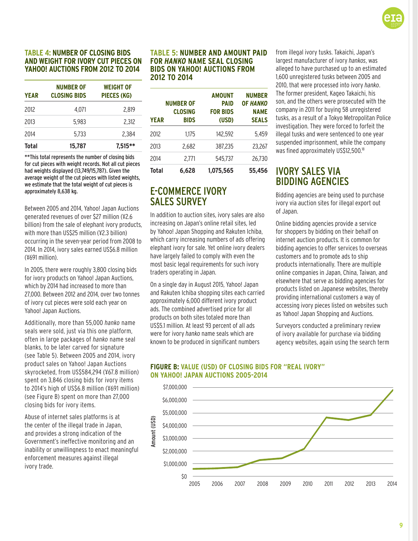

### **Table 4: Number of closing bids and weight for ivory cut pieces on Yahoo! Auctions from 2012 to 2014**

| <b>YEAR</b>  | <b>NUMBER OF</b><br><b>CLOSING BIDS</b> | <b>WEIGHT OF</b><br>PIECES (KG) |
|--------------|-----------------------------------------|---------------------------------|
| 2012         | 4.071                                   | 2.819                           |
| 2013         | 5.983                                   | 2.312                           |
| 2014         | 5.733                                   | 2.384                           |
| <b>Total</b> | 15.787                                  | $7.515***$                      |

\*\*This total represents the number of closing bids for cut pieces with weight records. Not all cut pieces had weights displayed (13,749/15,787). Given the average weight of the cut pieces with listed weights, we estimate that the total weight of cut pieces is approximately 8,638 kg.

Between 2005 and 2014, Yahoo! Japan Auctions generated revenues of over \$27 million (¥2.6 billion) from the sale of elephant ivory products, with more than US\$25 million (¥2.3 billion) occurring in the seven-year period from 2008 to 2014. In 2014, ivory sales earned US\$6.8 million (¥691 million).

In 2005, there were roughly 3,800 closing bids for ivory products on Yahoo! Japan Auctions, which by 2014 had increased to more than 27,000. Between 2012 and 2014, over two tonnes of ivory cut pieces were sold each year on Yahoo! Japan Auctions.

Additionally, more than 55,000 *hanko* name seals were sold, just via this one platform, often in large packages of *hanko* name seal blanks, to be later carved for signature (see Table 5). Between 2005 and 2014, ivory product sales on Yahoo! Japan Auctions skyrocketed, from US\$584,294 (¥67.8 million) spent on 3,846 closing bids for ivory items to 2014's high of US\$6.8 million (¥691 million) (see Figure B) spent on more than 27,000 closing bids for ivory items.

Abuse of internet sales platforms is at the center of the illegal trade in Japan, and provides a strong indication of the Government's ineffective monitoring and an inability or unwillingness to enact meaningful enforcement measures against illegal ivory trade.

#### **Table 5: Number and amount paid for** *hanko* **name seal closing bids on Yahoo! Auctions from 2012 to 2014**

| <b>YEAR</b>  | <b>NUMBER OF</b><br>CLOSING<br><b>BIDS</b> | <b>AMOUNT</b><br><b>PAID</b><br><b>FOR BIDS</b><br>(USD) | <b>NUMBER</b><br><b>OF HANKO</b><br><b>NAME</b><br><b>SEALS</b> |
|--------------|--------------------------------------------|----------------------------------------------------------|-----------------------------------------------------------------|
| 2012         | 1.175                                      | 142,592                                                  | 5.459                                                           |
| 2013         | 2.682                                      | 387,235                                                  | 23.267                                                          |
| 2014         | 2.771                                      | 545.737                                                  | 26.730                                                          |
| <b>Total</b> | 6.628                                      | 1.075.565                                                | 55.456                                                          |

### E-Commerce Ivory Sales Survey

In addition to auction sites, ivory sales are also increasing on Japan's online retail sites, led nish sesing on separro omine rotan shoop rod<br>by Yahoo! Japan Shopping and Rakuten Ichiba, which carry increasing numbers of ads offering elephant ivory for sale. Yet online ivory dealers have largely failed to comply with even the most basic legal requirements for such ivory most saste tegan eqanemer<br>traders operating in Japan.

On a single day in August 2015, Yahoo! Japan and Rakuten Ichiba shopping sites each carried approximately 6,000 different ivory product ads. The combined advertised price for all products on both sites totaled more than US\$5.1 million. At least 93 percent of all ads were for ivory *hanko* name seals which are 0 known to be produced in significant numbers

from illegal ivory tusks. Takaichi, Japan's largest manufacturer of ivory *hankos*, was alleged to have purchased up to an estimated 1,600 unregistered tusks between 2005 and 2010, that were processed into ivory *hanko*. The former president, Kageo Takaichi, his son, and the others were prosecuted with the company in 2011 for buying 58 unregistered tusks, as a result of a Tokyo Metropolitan Police investigation. They were forced to forfeit the illegal tusks and were sentenced to one year suspended imprisonment, while the company was fined approximately US\$12,500.<sup>18</sup>

## Ivory Sales via Bidding Agencies

Bidding agencies are being used to purchase ivory via auction sites for illegal export out of Japan.

Online bidding agencies provide a service for shoppers by bidding on their behalf on internet auction products. It is common for bidding agencies to offer services to overseas customers and to promote ads to ship products internationally. There are multiple online companies in Japan, China, Taiwan, and elsewhere that serve as bidding agencies for products listed on Japanese websites, thereby providing international customers a way of accessing ivory pieces listed on websites such as Yahoo! Japan Shopping and Auctions.

Surveyors conducted a preliminary review of ivory available for purchase via bidding agency websites, again using the search term



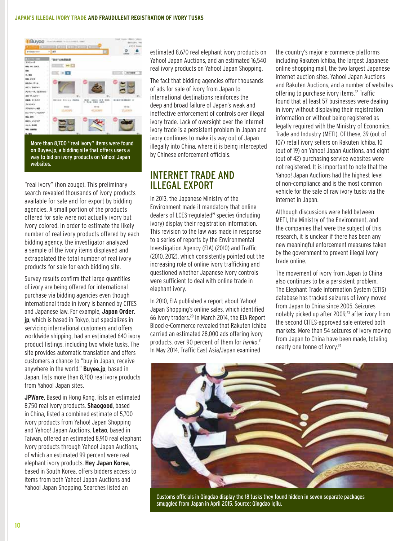#### **Japan's Illegal Ivory Trade and Fraudulent Registration of Ivory Tusks**



More than 8,700 "real ivory" items were found on Buyee.jp, a bidding site that offers users a way to bid on ivory products on Yahoo! Japan websites.

"real ivory" (hon zouge). This preliminary search revealed thousands of ivory products available for sale and for export by bidding agencies. A small portion of the products offered for sale were not actually ivory but ivory colored. In order to estimate the likely number of real ivory products offered by each bidding agency, the investigator analyzed a sample of the ivory items displayed and extrapolated the total number of real ivory products for sale for each bidding site.

Survey results confirm that large quantities of ivory are being offered for international purchase via bidding agencies even though international trade in ivory is banned by CITES and Japanese law. For example, **Japan Order. jp**, which is based in Tokyo, but specializes in servicing international customers and offers worldwide shipping, had an estimated 640 ivory product listings, including two whole tusks. The site provides automatic translation and offers customers a chance to "buy in Japan, receive anywhere in the world." **Buyee.jp**, based in Japan, lists more than 8,700 real ivory products from Yahoo! Japan sites.

**JPWare**, Based in Hong Kong, lists an estimated 8,750 real ivory products. **Shaogood**, based in China, listed a combined estimate of 5,700 ivory products from Yahoo! Japan Shopping and Yahoo! Japan Auctions. **Letao**, based in Taiwan, offered an estimated 8,910 real elephant ivory products through Yahoo! Japan Auctions, of which an estimated 99 percent were real elephant ivory products. **Hey Japan Korea**, based in South Korea, offers bidders access to items from both Yahoo! Japan Auctions and Yahoo! Japan Shopping. Searches listed an

estimated 8,670 real elephant ivory products on Yahoo! Japan Auctions, and an estimated 16,540 real ivory products on Yahoo! Japan Shopping.

The fact that bidding agencies offer thousands of ads for sale of ivory from Japan to international destinations reinforces the deep and broad failure of Japan's weak and ineffective enforcement of controls over illegal ivory trade. Lack of oversight over the internet ivory trade is a persistent problem in Japan and ivory continues to make its way out of Japan illegally into China, where it is being intercepted by Chinese enforcement officials.

### Internet Trade and Illegal Export

In 2013, the Japanese Ministry of the Environment made it mandatory that online dealers of LCES-regulated<sup>19</sup> species (including ivory) display their registration information. This revision to the law was made in response to a series of reports by the Environmental Investigation Agency (EIA) (2010) and Traffic (2010, 2012), which consistently pointed out the increasing role of online ivory trafficking and questioned whether Japanese ivory controls were sufficient to deal with online trade in elephant ivory.

In 2010, EIA published a report about Yahoo! Japan Shopping's online sales, which identified 66 ivory traders.20 In March 2014, the EIA Report Blood e-Commerce revealed that Rakuten Ichiba carried an estimated 28,000 ads offering ivory products, over 90 percent of them for *hanko*. 21 In May 2014, Traffic East Asia/Japan examined

the country's major e-commerce platforms including Rakuten Ichiba, the largest Japanese online shopping mall, the two largest Japanese internet auction sites, Yahoo! Japan Auctions and Rakuten Auctions, and a number of websites offering to purchase ivory items.<sup>22</sup> Traffic found that at least 57 businesses were dealing in ivory without displaying their registration information or without being registered as legally required with the Ministry of Economics, Trade and Industry (METI). Of these, 39 (out of 107) retail ivory sellers on Rakuten Ichiba, 10 (out of 19) on Yahoo! Japan Auctions, and eight (out of 42) purchasing service websites were not registered. It is important to note that the Yahoo! Japan Auctions had the highest level of non-compliance and is the most common vehicle for the sale of raw ivory tusks via the internet in Japan.

Although discussions were held between METI, the Ministry of the Environment, and the companies that were the subject of this research, it is unclear if there has been any new meaningful enforcement measures taken by the government to prevent illegal ivory trade online.

The movement of ivory from Japan to China also continues to be a persistent problem. The Elephant Trade Information System (ETIS) database has tracked seizures of ivory moved from Japan to China since 2005. Seizures notably picked up after 2009,<sup>23</sup> after ivory from the second CITES-approved sale entered both markets. More than 54 seizures of ivory moving from Japan to China have been made, totaling nearly one tonne of ivory.24



Customs officials in Qingdao display the 18 tusks they found hidden in seven separate packages smuggled from Japan in April 2015. Source: Qingdao Iqilu.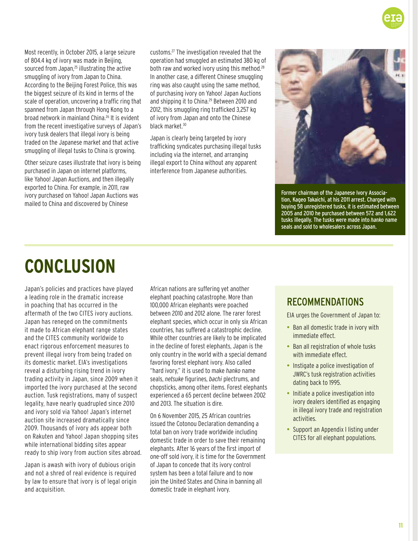Most recently, in October 2015, a large seizure of 804.4 kg of ivory was made in Beijing, sourced from Japan,<sup>25</sup> illustrating the active smuggling of ivory from Japan to China. According to the Beijing Forest Police, this was the biggest seizure of its kind in terms of the scale of operation, uncovering a traffic ring that spanned from Japan through Hong Kong to a broad network in mainland China.26 It is evident from the recent investigative surveys of Japan's ivory tusk dealers that illegal ivory is being traded on the Japanese market and that active smuggling of illegal tusks to China is growing.

Other seizure cases illustrate that ivory is being purchased in Japan on internet platforms, like Yahoo! Japan Auctions, and then illegally exported to China. For example, in 2011, raw ivory purchased on Yahoo! Japan Auctions was mailed to China and discovered by Chinese

customs.27 The investigation revealed that the operation had smuggled an estimated 380 kg of both raw and worked ivory using this method.<sup>28</sup> In another case, a different Chinese smuggling ring was also caught using the same method, of purchasing ivory on Yahoo! Japan Auctions and shipping it to China.<sup>29</sup> Between 2010 and 2012, this smuggling ring trafficked 3,257 kg of ivory from Japan and onto the Chinese black market.<sup>30</sup>

Japan is clearly being targeted by ivory trafficking syndicates purchasing illegal tusks including via the internet, and arranging illegal export to China without any apparent interference from Japanese authorities.



Former chairman of the Japanese Ivory Association, Kageo Takaichi, at his 2011 arrest. Charged with buying 58 unregistered tusks, it is estimated between 2005 and 2010 he purchased between 572 and 1,622 tusks illegally. The tusks were made into *hanko* name seals and sold to wholesalers across Japan.

# **Conclusion**

Japan's policies and practices have played a leading role in the dramatic increase in poaching that has occurred in the aftermath of the two CITES ivory auctions. Japan has reneged on the commitments it made to African elephant range states and the CITES community worldwide to enact rigorous enforcement measures to prevent illegal ivory from being traded on its domestic market. EIA's investigations reveal a disturbing rising trend in ivory trading activity in Japan, since 2009 when it imported the ivory purchased at the second auction. Tusk registrations, many of suspect legality, have nearly quadrupled since 2010 and ivory sold via Yahoo! Japan's internet auction site increased dramatically since 2009. Thousands of ivory ads appear both on Rakuten and Yahoo! Japan shopping sites while international bidding sites appear ready to ship ivory from auction sites abroad.

Japan is awash with ivory of dubious origin and not a shred of real evidence is required by law to ensure that ivory is of legal origin and acquisition.

African nations are suffering yet another elephant poaching catastrophe. More than 100,000 African elephants were poached between 2010 and 2012 alone. The rarer forest elephant species, which occur in only six African countries, has suffered a catastrophic decline. While other countries are likely to be implicated in the decline of forest elephants, Japan is the only country in the world with a special demand favoring forest elephant ivory. Also called "hard ivory," it is used to make *hanko* name seals, *netsuke* figurines, *bachi* plectrums, and chopsticks, among other items. Forest elephants experienced a 65 percent decline between 2002 and 2013. The situation is dire.

On 6 November 2015, 25 African countries issued the Cotonou Declaration demanding a total ban on ivory trade worldwide including domestic trade in order to save their remaining elephants. After 16 years of the first import of one-off sold ivory, it is time for the Government of Japan to concede that its ivory control system has been a total failure and to now join the United States and China in banning all domestic trade in elephant ivory.

# Recommendations

EIA urges the Government of Japan to:

- Ban all domestic trade in ivory with immediate effect.
- Ban all registration of whole tusks with immediate effect.
- Instigate a police investigation of JWRC's tusk registration activities dating back to 1995.
- Initiate a police investigation into ivory dealers identified as engaging in illegal ivory trade and registration activities.
- Support an Appendix I listing under CITES for all elephant populations.